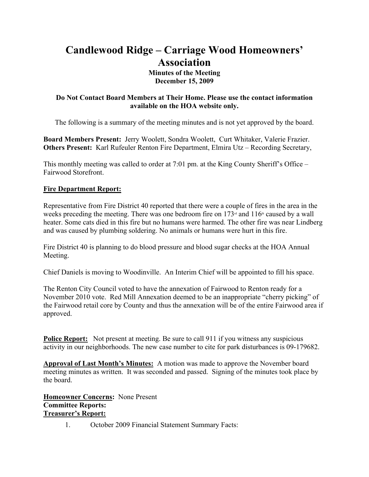# **Candlewood Ridge – Carriage Wood Homeowners' Association Minutes of the Meeting December 15, 2009**

#### **Do Not Contact Board Members at Their Home. Please use the contact information available on the HOA website only.**

The following is a summary of the meeting minutes and is not yet approved by the board.

**Board Members Present:** Jerry Woolett, Sondra Woolett, Curt Whitaker, Valerie Frazier. **Others Present:** Karl Rufeuler Renton Fire Department, Elmira Utz – Recording Secretary,

This monthly meeting was called to order at 7:01 pm. at the King County Sheriff's Office – Fairwood Storefront.

#### **Fire Department Report:**

Representative from Fire District 40 reported that there were a couple of fires in the area in the weeks preceding the meeting. There was one bedroom fire on  $173<sup>d</sup>$  and  $116<sup>d</sup>$  caused by a wall heater. Some cats died in this fire but no humans were harmed. The other fire was near Lindberg and was caused by plumbing soldering. No animals or humans were hurt in this fire.

Fire District 40 is planning to do blood pressure and blood sugar checks at the HOA Annual Meeting.

Chief Daniels is moving to Woodinville. An Interim Chief will be appointed to fill his space.

The Renton City Council voted to have the annexation of Fairwood to Renton ready for a November 2010 vote. Red Mill Annexation deemed to be an inappropriate "cherry picking" of the Fairwood retail core by County and thus the annexation will be of the entire Fairwood area if approved.

**Police Report:** Not present at meeting. Be sure to call 911 if you witness any suspicious activity in our neighborhoods. The new case number to cite for park disturbances is 09-179682.

**Approval of Last Month's Minutes:** A motion was made to approve the November board meeting minutes as written. It was seconded and passed. Signing of the minutes took place by the board.

**Homeowner Concerns:** None Present **Committee Reports: Treasurer's Report:**

1. October 2009 Financial Statement Summary Facts: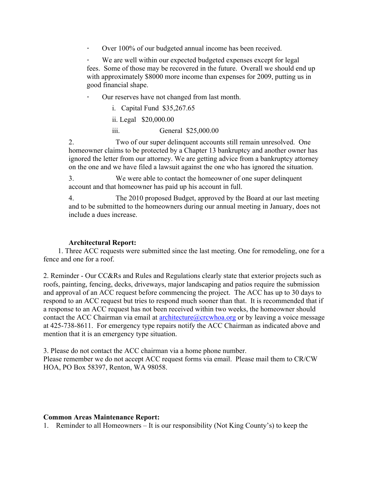∙ Over 100% of our budgeted annual income has been received.

We are well within our expected budgeted expenses except for legal fees. Some of those may be recovered in the future. Overall we should end up with approximately \$8000 more income than expenses for 2009, putting us in good financial shape.

∙ Our reserves have not changed from last month.

i. Capital Fund \$35,267.65

ii. Legal \$20,000.00

iii. General \$25,000.00

2. Two of our super delinquent accounts still remain unresolved. One homeowner claims to be protected by a Chapter 13 bankruptcy and another owner has ignored the letter from our attorney. We are getting advice from a bankruptcy attorney on the one and we have filed a lawsuit against the one who has ignored the situation.

3. We were able to contact the homeowner of one super delinquent account and that homeowner has paid up his account in full.

4. The 2010 proposed Budget, approved by the Board at our last meeting and to be submitted to the homeowners during our annual meeting in January, does not include a dues increase.

#### **Architectural Report:**

 1. Three ACC requests were submitted since the last meeting. One for remodeling, one for a fence and one for a roof.

2. Reminder - Our CC&Rs and Rules and Regulations clearly state that exterior projects such as roofs, painting, fencing, decks, driveways, major landscaping and patios require the submission and approval of an ACC request before commencing the project. The ACC has up to 30 days to respond to an ACC request but tries to respond much sooner than that. It is recommended that if a response to an ACC request has not been received within two weeks, the homeowner should contact the ACC Chairman via email at  $\frac{\text{architecture}(a)\text{c}$  rewhoa.org or by leaving a voice message at 425-738-8611. For emergency type repairs notify the ACC Chairman as indicated above and mention that it is an emergency type situation.

3. Please do not contact the ACC chairman via a home phone number. Please remember we do not accept ACC request forms via email. Please mail them to CR/CW HOA, PO Box 58397, Renton, WA 98058.

#### **Common Areas Maintenance Report:**

1. Reminder to all Homeowners – It is our responsibility (Not King County's) to keep the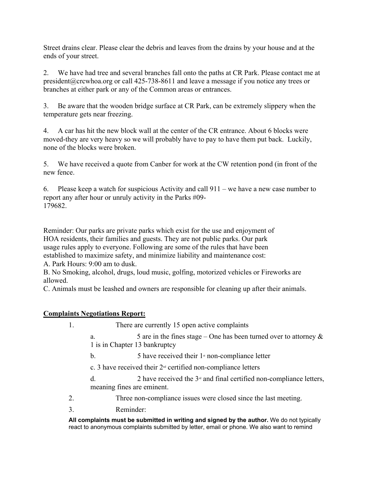Street drains clear. Please clear the debris and leaves from the drains by your house and at the ends of your street.

2. We have had tree and several branches fall onto the paths at CR Park. Please contact me at president@crcwhoa.org or call 425-738-8611 and leave a message if you notice any trees or branches at either park or any of the Common areas or entrances.

3. Be aware that the wooden bridge surface at CR Park, can be extremely slippery when the temperature gets near freezing.

4. A car has hit the new block wall at the center of the CR entrance. About 6 blocks were moved-they are very heavy so we will probably have to pay to have them put back. Luckily, none of the blocks were broken.

5. We have received a quote from Canber for work at the CW retention pond (in front of the new fence.

6. Please keep a watch for suspicious Activity and call 911 – we have a new case number to report any after hour or unruly activity in the Parks #09- 179682.

Reminder: Our parks are private parks which exist for the use and enjoyment of HOA residents, their families and guests. They are not public parks. Our park usage rules apply to everyone. Following are some of the rules that have been established to maximize safety, and minimize liability and maintenance cost:

A. Park Hours: 9:00 am to dusk.

B. No Smoking, alcohol, drugs, loud music, golfing, motorized vehicles or Fireworks are allowed.

C. Animals must be leashed and owners are responsible for cleaning up after their animals.

#### **Complaints Negotiations Report:**

1. There are currently 15 open active complaints

a. 5 are in the fines stage – One has been turned over to attorney  $\&$ 1 is in Chapter 13 bankruptcy

b.  $5$  have received their  $1$ <sup>st</sup> non-compliance letter

c. 3 have received their  $2<sup>nd</sup>$  certified non-compliance letters

d. 2 have received the  $3<sup>d</sup>$  and final certified non-compliance letters, meaning fines are eminent.

2. Three non-compliance issues were closed since the last meeting.

3. Reminder:

**All complaints must be submitted in writing and signed by the author.** We do not typically react to anonymous complaints submitted by letter, email or phone. We also want to remind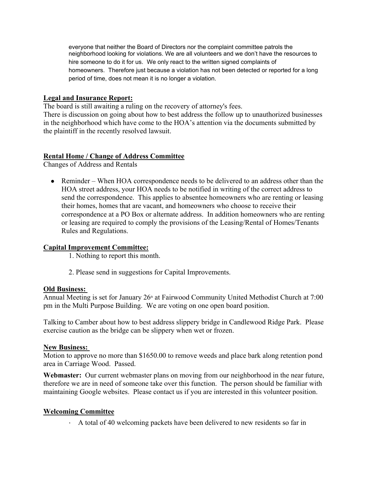everyone that neither the Board of Directors nor the complaint committee patrols the neighborhood looking for violations. We are all volunteers and we don't have the resources to hire someone to do it for us. We only react to the written signed complaints of homeowners. Therefore just because a violation has not been detected or reported for a long period of time, does not mean it is no longer a violation.

#### **Legal and Insurance Report:**

The board is still awaiting a ruling on the recovery of attorney's fees. There is discussion on going about how to best address the follow up to unauthorized businesses in the neighborhood which have come to the HOA's attention via the documents submitted by the plaintiff in the recently resolved lawsuit.

#### **Rental Home / Change of Address Committee**

Changes of Address and Rentals

• Reminder – When HOA correspondence needs to be delivered to an address other than the HOA street address, your HOA needs to be notified in writing of the correct address to send the correspondence. This applies to absentee homeowners who are renting or leasing their homes, homes that are vacant, and homeowners who choose to receive their correspondence at a PO Box or alternate address. In addition homeowners who are renting or leasing are required to comply the provisions of the Leasing/Rental of Homes/Tenants Rules and Regulations.

#### **Capital Improvement Committee:**

1. Nothing to report this month.

2. Please send in suggestions for Capital Improvements.

#### **Old Business:**

Annual Meeting is set for January  $26<sup>th</sup>$  at Fairwood Community United Methodist Church at 7:00 pm in the Multi Purpose Building. We are voting on one open board position.

Talking to Camber about how to best address slippery bridge in Candlewood Ridge Park. Please exercise caution as the bridge can be slippery when wet or frozen.

#### **New Business:**

Motion to approve no more than \$1650.00 to remove weeds and place bark along retention pond area in Carriage Wood. Passed.

**Webmaster:** Our current webmaster plans on moving from our neighborhood in the near future, therefore we are in need of someone take over this function. The person should be familiar with maintaining Google websites. Please contact us if you are interested in this volunteer position.

#### **Welcoming Committee**

∙ A total of 40 welcoming packets have been delivered to new residents so far in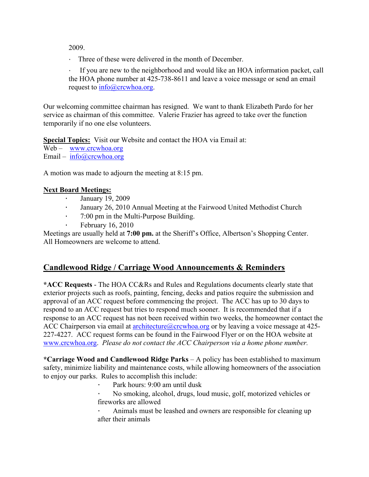2009.

∙ Three of these were delivered in the month of December.

∙ If you are new to the neighborhood and would like an HOA information packet, call the HOA phone number at 425-738-8611 and leave a voice message or send an email request to info@crcwhoa.org.

Our welcoming committee chairman has resigned. We want to thank Elizabeth Pardo for her service as chairman of this committee. Valerie Frazier has agreed to take over the function temporarily if no one else volunteers.

**Special Topics:** Visit our Website and contact the HOA via Email at:

Web – www.crcwhoa.org

Email – info@crcwhoa.org

A motion was made to adjourn the meeting at 8:15 pm.

### **Next Board Meetings:**

- ∙ January 19, 2009
- ∙ January 26, 2010 Annual Meeting at the Fairwood United Methodist Church
- ∙ 7:00 pm in the Multi-Purpose Building.
- ∙ February 16, 2010

Meetings are usually held at **7:00 pm.** at the Sheriff's Office, Albertson's Shopping Center. All Homeowners are welcome to attend.

## **Candlewood Ridge / Carriage Wood Announcements & Reminders**

**\*ACC Requests** - The HOA CC&Rs and Rules and Regulations documents clearly state that exterior projects such as roofs, painting, fencing, decks and patios require the submission and approval of an ACC request before commencing the project. The ACC has up to 30 days to respond to an ACC request but tries to respond much sooner. It is recommended that if a response to an ACC request has not been received within two weeks, the homeowner contact the ACC Chairperson via email at architecture  $@crcwhoa.org$  or by leaving a voice message at 425-227-4227. ACC request forms can be found in the Fairwood Flyer or on the HOA website at www.crcwhoa.org. *Please do not contact the ACC Chairperson via a home phone number.*

**\*Carriage Wood and Candlewood Ridge Parks** – A policy has been established to maximum safety, minimize liability and maintenance costs, while allowing homeowners of the association to enjoy our parks. Rules to accomplish this include:

∙ Park hours: 9:00 am until dusk

∙ No smoking, alcohol, drugs, loud music, golf, motorized vehicles or fireworks are allowed

∙ Animals must be leashed and owners are responsible for cleaning up after their animals